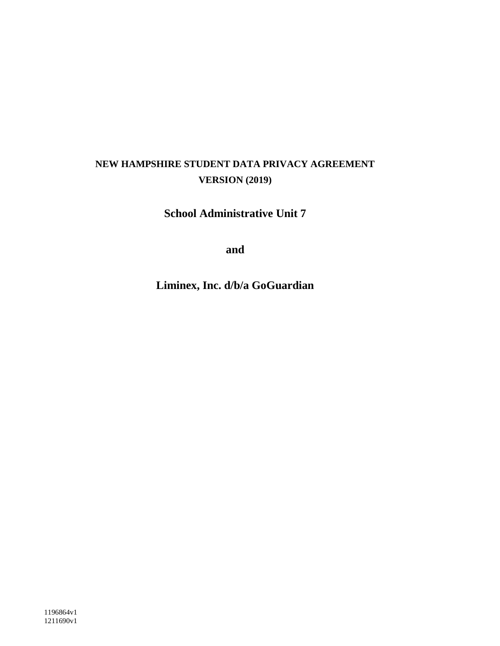# **NEW HAMPSHIRE STUDENT DATA PRIVACY AGREEMENT VERSION (2019)**

**School Administrative Unit 7**

**and**

**Liminex, Inc. d/b/a GoGuardian**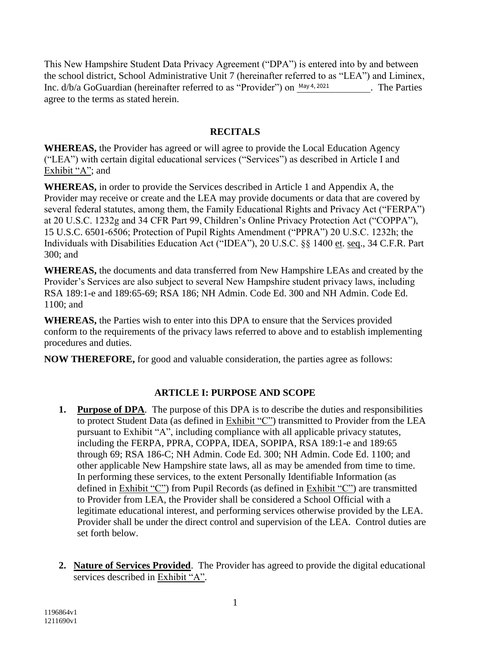This New Hampshire Student Data Privacy Agreement ("DPA") is entered into by and between the school district, School Administrative Unit 7 (hereinafter referred to as "LEA") and Liminex, Inc.  $d/b/a$  GoGuardian (hereinafter referred to as "Provider") on  $_{\text{May 4, 2021}}$  The Parties agree to the terms as stated herein.

## **RECITALS**

**WHEREAS,** the Provider has agreed or will agree to provide the Local Education Agency ("LEA") with certain digital educational services ("Services") as described in Article I and Exhibit "A"; and

**WHEREAS,** in order to provide the Services described in Article 1 and Appendix A, the Provider may receive or create and the LEA may provide documents or data that are covered by several federal statutes, among them, the Family Educational Rights and Privacy Act ("FERPA") at 20 U.S.C. 1232g and 34 CFR Part 99, Children's Online Privacy Protection Act ("COPPA"), 15 U.S.C. 6501-6506; Protection of Pupil Rights Amendment ("PPRA") 20 U.S.C. 1232h; the Individuals with Disabilities Education Act ("IDEA"), 20 U.S.C. §§ 1400 et. seq., 34 C.F.R. Part 300; and

**WHEREAS,** the documents and data transferred from New Hampshire LEAs and created by the Provider's Services are also subject to several New Hampshire student privacy laws, including RSA 189:1-e and 189:65-69; RSA 186; NH Admin. Code Ed. 300 and NH Admin. Code Ed. 1100; and

**WHEREAS,** the Parties wish to enter into this DPA to ensure that the Services provided conform to the requirements of the privacy laws referred to above and to establish implementing procedures and duties.

**NOW THEREFORE,** for good and valuable consideration, the parties agree as follows:

# **ARTICLE I: PURPOSE AND SCOPE**

- **1. Purpose of DPA**. The purpose of this DPA is to describe the duties and responsibilities to protect Student Data (as defined in Exhibit "C") transmitted to Provider from the LEA pursuant to Exhibit "A", including compliance with all applicable privacy statutes, including the FERPA, PPRA, COPPA, IDEA, SOPIPA, RSA 189:1-e and 189:65 through 69; RSA 186-C; NH Admin. Code Ed. 300; NH Admin. Code Ed. 1100; and other applicable New Hampshire state laws, all as may be amended from time to time. In performing these services, to the extent Personally Identifiable Information (as defined in Exhibit "C") from Pupil Records (as defined in Exhibit "C") are transmitted to Provider from LEA, the Provider shall be considered a School Official with a legitimate educational interest, and performing services otherwise provided by the LEA. Provider shall be under the direct control and supervision of the LEA. Control duties are set forth below.
- **2. Nature of Services Provided**. The Provider has agreed to provide the digital educational services described in Exhibit "A".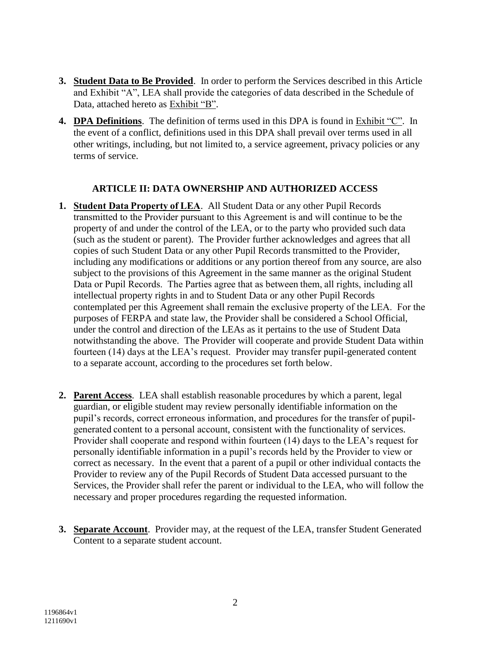- **3. Student Data to Be Provided**. In order to perform the Services described in this Article and Exhibit "A", LEA shall provide the categories of data described in the Schedule of Data, attached hereto as Exhibit "B".
- **4. DPA Definitions**. The definition of terms used in this DPA is found in Exhibit "C". In the event of a conflict, definitions used in this DPA shall prevail over terms used in all other writings, including, but not limited to, a service agreement, privacy policies or any terms of service.

### **ARTICLE II: DATA OWNERSHIP AND AUTHORIZED ACCESS**

- **1. Student Data Property of LEA**. All Student Data or any other Pupil Records transmitted to the Provider pursuant to this Agreement is and will continue to be the property of and under the control of the LEA, or to the party who provided such data (such as the student or parent). The Provider further acknowledges and agrees that all copies of such Student Data or any other Pupil Records transmitted to the Provider, including any modifications or additions or any portion thereof from any source, are also subject to the provisions of this Agreement in the same manner as the original Student Data or Pupil Records. The Parties agree that as between them, all rights, including all intellectual property rights in and to Student Data or any other Pupil Records contemplated per this Agreement shall remain the exclusive property of the LEA. For the purposes of FERPA and state law, the Provider shall be considered a School Official, under the control and direction of the LEAs as it pertains to the use of Student Data notwithstanding the above. The Provider will cooperate and provide Student Data within fourteen (14) days at the LEA's request. Provider may transfer pupil-generated content to a separate account, according to the procedures set forth below.
- **2. Parent Access**. LEA shall establish reasonable procedures by which a parent, legal guardian, or eligible student may review personally identifiable information on the pupil's records, correct erroneous information, and procedures for the transfer of pupilgenerated content to a personal account, consistent with the functionality of services. Provider shall cooperate and respond within fourteen (14) days to the LEA's request for personally identifiable information in a pupil's records held by the Provider to view or correct as necessary. In the event that a parent of a pupil or other individual contacts the Provider to review any of the Pupil Records of Student Data accessed pursuant to the Services, the Provider shall refer the parent or individual to the LEA, who will follow the necessary and proper procedures regarding the requested information.
- **3. Separate Account**. Provider may, at the request of the LEA, transfer Student Generated Content to a separate student account.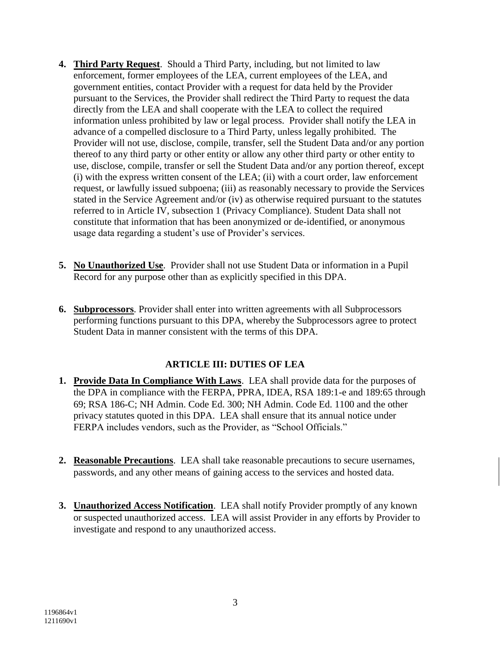- **4. Third Party Request**. Should a Third Party, including, but not limited to law enforcement, former employees of the LEA, current employees of the LEA, and government entities, contact Provider with a request for data held by the Provider pursuant to the Services, the Provider shall redirect the Third Party to request the data directly from the LEA and shall cooperate with the LEA to collect the required information unless prohibited by law or legal process. Provider shall notify the LEA in advance of a compelled disclosure to a Third Party, unless legally prohibited. The Provider will not use, disclose, compile, transfer, sell the Student Data and/or any portion thereof to any third party or other entity or allow any other third party or other entity to use, disclose, compile, transfer or sell the Student Data and/or any portion thereof, except (i) with the express written consent of the LEA; (ii) with a court order, law enforcement request, or lawfully issued subpoena; (iii) as reasonably necessary to provide the Services stated in the Service Agreement and/or (iv) as otherwise required pursuant to the statutes referred to in Article IV, subsection 1 (Privacy Compliance). Student Data shall not constitute that information that has been anonymized or de-identified, or anonymous usage data regarding a student's use of Provider's services.
- **5. No Unauthorized Use**. Provider shall not use Student Data or information in a Pupil Record for any purpose other than as explicitly specified in this DPA.
- **6. Subprocessors**. Provider shall enter into written agreements with all Subprocessors performing functions pursuant to this DPA, whereby the Subprocessors agree to protect Student Data in manner consistent with the terms of this DPA.

### **ARTICLE III: DUTIES OF LEA**

- **1. Provide Data In Compliance With Laws**. LEA shall provide data for the purposes of the DPA in compliance with the FERPA, PPRA, IDEA, RSA 189:1-e and 189:65 through 69; RSA 186-C; NH Admin. Code Ed. 300; NH Admin. Code Ed. 1100 and the other privacy statutes quoted in this DPA. LEA shall ensure that its annual notice under FERPA includes vendors, such as the Provider, as "School Officials."
- **2. Reasonable Precautions**. LEA shall take reasonable precautions to secure usernames, passwords, and any other means of gaining access to the services and hosted data.
- **3. Unauthorized Access Notification**. LEA shall notify Provider promptly of any known or suspected unauthorized access. LEA will assist Provider in any efforts by Provider to investigate and respond to any unauthorized access.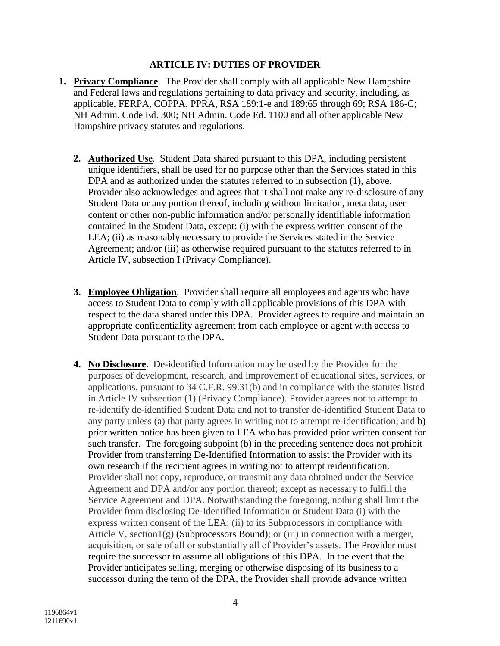#### **ARTICLE IV: DUTIES OF PROVIDER**

- **1. Privacy Compliance**. The Provider shall comply with all applicable New Hampshire and Federal laws and regulations pertaining to data privacy and security, including, as applicable, FERPA, COPPA, PPRA, RSA 189:1-e and 189:65 through 69; RSA 186-C; NH Admin. Code Ed. 300; NH Admin. Code Ed. 1100 and all other applicable New Hampshire privacy statutes and regulations.
	- **2. Authorized Use**. Student Data shared pursuant to this DPA, including persistent unique identifiers, shall be used for no purpose other than the Services stated in this DPA and as authorized under the statutes referred to in subsection (1), above. Provider also acknowledges and agrees that it shall not make any re-disclosure of any Student Data or any portion thereof, including without limitation, meta data, user content or other non-public information and/or personally identifiable information contained in the Student Data, except: (i) with the express written consent of the LEA; (ii) as reasonably necessary to provide the Services stated in the Service Agreement; and/or (iii) as otherwise required pursuant to the statutes referred to in Article IV, subsection I (Privacy Compliance).
	- **3. Employee Obligation**. Provider shall require all employees and agents who have access to Student Data to comply with all applicable provisions of this DPA with respect to the data shared under this DPA. Provider agrees to require and maintain an appropriate confidentiality agreement from each employee or agent with access to Student Data pursuant to the DPA.
	- **4. No Disclosure**. De-identified Information may be used by the Provider for the purposes of development, research, and improvement of educational sites, services, or applications, pursuant to 34 C.F.R. 99.31(b) and in compliance with the statutes listed in Article IV subsection (1) (Privacy Compliance). Provider agrees not to attempt to re-identify de-identified Student Data and not to transfer de-identified Student Data to any party unless (a) that party agrees in writing not to attempt re-identification; and b) prior written notice has been given to LEA who has provided prior written consent for such transfer. The foregoing subpoint (b) in the preceding sentence does not prohibit Provider from transferring De-Identified Information to assist the Provider with its own research if the recipient agrees in writing not to attempt reidentification. Provider shall not copy, reproduce, or transmit any data obtained under the Service Agreement and DPA and/or any portion thereof; except as necessary to fulfill the Service Agreement and DPA. Notwithstanding the foregoing, nothing shall limit the Provider from disclosing De-Identified Information or Student Data (i) with the express written consent of the LEA; (ii) to its Subprocessors in compliance with Article V, section1(g) (Subprocessors Bound); or (iii) in connection with a merger, acquisition, or sale of all or substantially all of Provider's assets. The Provider must require the successor to assume all obligations of this DPA. In the event that the Provider anticipates selling, merging or otherwise disposing of its business to a successor during the term of the DPA, the Provider shall provide advance written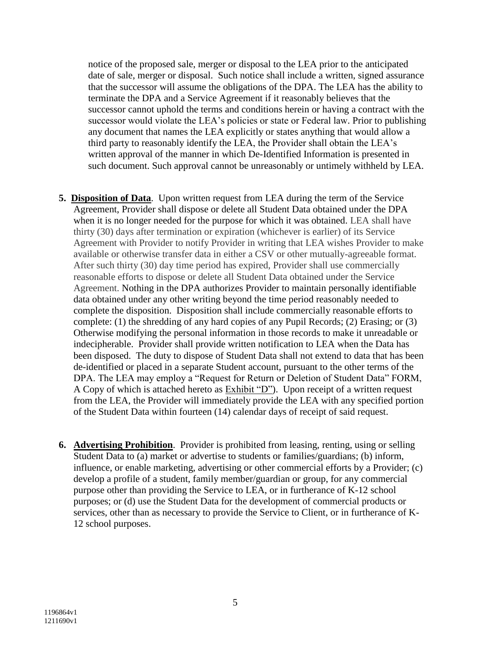notice of the proposed sale, merger or disposal to the LEA prior to the anticipated date of sale, merger or disposal. Such notice shall include a written, signed assurance that the successor will assume the obligations of the DPA. The LEA has the ability to terminate the DPA and a Service Agreement if it reasonably believes that the successor cannot uphold the terms and conditions herein or having a contract with the successor would violate the LEA's policies or state or Federal law. Prior to publishing any document that names the LEA explicitly or states anything that would allow a third party to reasonably identify the LEA, the Provider shall obtain the LEA's written approval of the manner in which De-Identified Information is presented in such document. Such approval cannot be unreasonably or untimely withheld by LEA.

- **5. Disposition of Data**. Upon written request from LEA during the term of the Service Agreement, Provider shall dispose or delete all Student Data obtained under the DPA when it is no longer needed for the purpose for which it was obtained. LEA shall have thirty (30) days after termination or expiration (whichever is earlier) of its Service Agreement with Provider to notify Provider in writing that LEA wishes Provider to make available or otherwise transfer data in either a CSV or other mutually-agreeable format. After such thirty (30) day time period has expired, Provider shall use commercially reasonable efforts to dispose or delete all Student Data obtained under the Service Agreement. Nothing in the DPA authorizes Provider to maintain personally identifiable data obtained under any other writing beyond the time period reasonably needed to complete the disposition. Disposition shall include commercially reasonable efforts to complete: (1) the shredding of any hard copies of any Pupil Records; (2) Erasing; or (3) Otherwise modifying the personal information in those records to make it unreadable or indecipherable. Provider shall provide written notification to LEA when the Data has been disposed. The duty to dispose of Student Data shall not extend to data that has been de-identified or placed in a separate Student account, pursuant to the other terms of the DPA. The LEA may employ a "Request for Return or Deletion of Student Data" FORM, A Copy of which is attached hereto as Exhibit "D"). Upon receipt of a written request from the LEA, the Provider will immediately provide the LEA with any specified portion of the Student Data within fourteen (14) calendar days of receipt of said request.
- **6. Advertising Prohibition**. Provider is prohibited from leasing, renting, using or selling Student Data to (a) market or advertise to students or families/guardians; (b) inform, influence, or enable marketing, advertising or other commercial efforts by a Provider; (c) develop a profile of a student, family member/guardian or group, for any commercial purpose other than providing the Service to LEA, or in furtherance of K-12 school purposes; or (d) use the Student Data for the development of commercial products or services, other than as necessary to provide the Service to Client, or in furtherance of K-12 school purposes.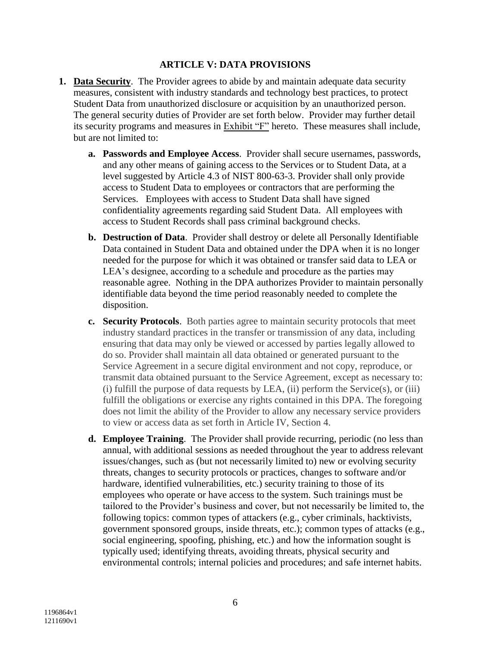#### **ARTICLE V: DATA PROVISIONS**

- **1. Data Security**. The Provider agrees to abide by and maintain adequate data security measures, consistent with industry standards and technology best practices, to protect Student Data from unauthorized disclosure or acquisition by an unauthorized person. The general security duties of Provider are set forth below. Provider may further detail its security programs and measures in Exhibit "F" hereto. These measures shall include, but are not limited to:
	- **a. Passwords and Employee Access**. Provider shall secure usernames, passwords, and any other means of gaining access to the Services or to Student Data, at a level suggested by Article 4.3 of NIST 800-63-3. Provider shall only provide access to Student Data to employees or contractors that are performing the Services. Employees with access to Student Data shall have signed confidentiality agreements regarding said Student Data. All employees with access to Student Records shall pass criminal background checks.
	- **b. Destruction of Data**. Provider shall destroy or delete all Personally Identifiable Data contained in Student Data and obtained under the DPA when it is no longer needed for the purpose for which it was obtained or transfer said data to LEA or LEA's designee, according to a schedule and procedure as the parties may reasonable agree. Nothing in the DPA authorizes Provider to maintain personally identifiable data beyond the time period reasonably needed to complete the disposition.
	- **c. Security Protocols**. Both parties agree to maintain security protocols that meet industry standard practices in the transfer or transmission of any data, including ensuring that data may only be viewed or accessed by parties legally allowed to do so. Provider shall maintain all data obtained or generated pursuant to the Service Agreement in a secure digital environment and not copy, reproduce, or transmit data obtained pursuant to the Service Agreement, except as necessary to:  $(i)$  fulfill the purpose of data requests by LEA,  $(ii)$  perform the Service $(s)$ , or  $(iii)$ fulfill the obligations or exercise any rights contained in this DPA. The foregoing does not limit the ability of the Provider to allow any necessary service providers to view or access data as set forth in Article IV, Section 4.
	- **d. Employee Training**. The Provider shall provide recurring, periodic (no less than annual, with additional sessions as needed throughout the year to address relevant issues/changes, such as (but not necessarily limited to) new or evolving security threats, changes to security protocols or practices, changes to software and/or hardware, identified vulnerabilities, etc.) security training to those of its employees who operate or have access to the system. Such trainings must be tailored to the Provider's business and cover, but not necessarily be limited to, the following topics: common types of attackers (e.g., cyber criminals, hacktivists, government sponsored groups, inside threats, etc.); common types of attacks (e.g., social engineering, spoofing, phishing, etc.) and how the information sought is typically used; identifying threats, avoiding threats, physical security and environmental controls; internal policies and procedures; and safe internet habits.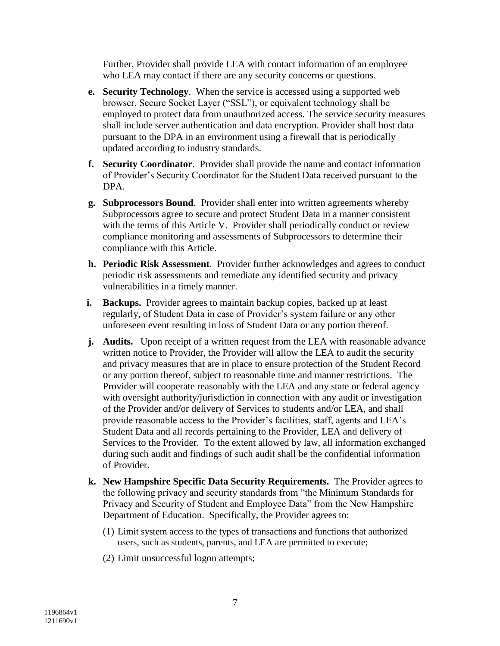Further, Provider shall provide LEA with contact information of an employee who LEA may contact if there are any security concerns or questions.

- **e. Security Technology**. When the service is accessed using a supported web browser, Secure Socket Layer ("SSL"), or equivalent technology shall be employed to protect data from unauthorized access. The service security measures shall include server authentication and data encryption. Provider shall host data pursuant to the DPA in an environment using a firewall that is periodically updated according to industry standards.
- **f. Security Coordinator**. Provider shall provide the name and contact information of Provider's Security Coordinator for the Student Data received pursuant to the DPA.
- **g. Subprocessors Bound**. Provider shall enter into written agreements whereby Subprocessors agree to secure and protect Student Data in a manner consistent with the terms of this Article V. Provider shall periodically conduct or review compliance monitoring and assessments of Subprocessors to determine their compliance with this Article.
- **h. Periodic Risk Assessment**. Provider further acknowledges and agrees to conduct periodic risk assessments and remediate any identified security and privacy vulnerabilities in a timely manner.
- **i. Backups.** Provider agrees to maintain backup copies, backed up at least regularly, of Student Data in case of Provider's system failure or any other unforeseen event resulting in loss of Student Data or any portion thereof.
- **j.** Audits. Upon receipt of a written request from the LEA with reasonable advance written notice to Provider, the Provider will allow the LEA to audit the security and privacy measures that are in place to ensure protection of the Student Record or any portion thereof, subject to reasonable time and manner restrictions. The Provider will cooperate reasonably with the LEA and any state or federal agency with oversight authority/jurisdiction in connection with any audit or investigation of the Provider and/or delivery of Services to students and/or LEA, and shall provide reasonable access to the Provider's facilities, staff, agents and LEA's Student Data and all records pertaining to the Provider, LEA and delivery of Services to the Provider. To the extent allowed by law, all information exchanged during such audit and findings of such audit shall be the confidential information of Provider.
- **k. New Hampshire Specific Data Security Requirements.** The Provider agrees to the following privacy and security standards from "the Minimum Standards for Privacy and Security of Student and Employee Data" from the New Hampshire Department of Education. Specifically, the Provider agrees to:
	- (1) Limit system access to the types of transactions and functions that authorized users, such as students, parents, and LEA are permitted to execute;
	- (2) Limit unsuccessful logon attempts;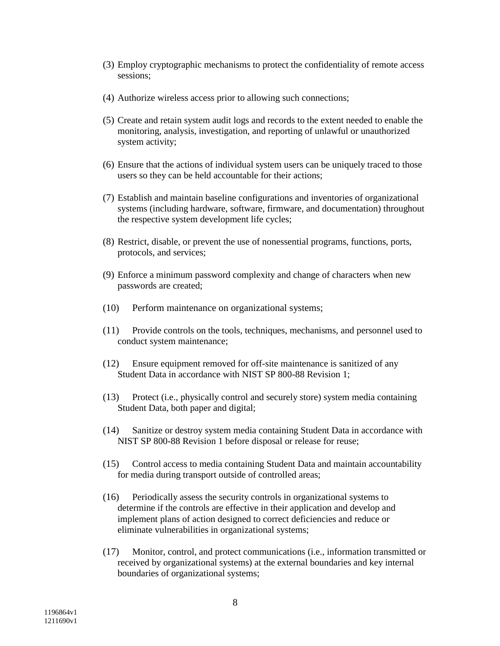- (3) Employ cryptographic mechanisms to protect the confidentiality of remote access sessions;
- (4) Authorize wireless access prior to allowing such connections;
- (5) Create and retain system audit logs and records to the extent needed to enable the monitoring, analysis, investigation, and reporting of unlawful or unauthorized system activity;
- (6) Ensure that the actions of individual system users can be uniquely traced to those users so they can be held accountable for their actions;
- (7) Establish and maintain baseline configurations and inventories of organizational systems (including hardware, software, firmware, and documentation) throughout the respective system development life cycles;
- (8) Restrict, disable, or prevent the use of nonessential programs, functions, ports, protocols, and services;
- (9) Enforce a minimum password complexity and change of characters when new passwords are created;
- (10) Perform maintenance on organizational systems;
- (11) Provide controls on the tools, techniques, mechanisms, and personnel used to conduct system maintenance;
- (12) Ensure equipment removed for off-site maintenance is sanitized of any Student Data in accordance with NIST SP 800-88 Revision 1;
- (13) Protect (i.e., physically control and securely store) system media containing Student Data, both paper and digital;
- (14) Sanitize or destroy system media containing Student Data in accordance with NIST SP 800-88 Revision 1 before disposal or release for reuse;
- (15) Control access to media containing Student Data and maintain accountability for media during transport outside of controlled areas;
- (16) Periodically assess the security controls in organizational systems to determine if the controls are effective in their application and develop and implement plans of action designed to correct deficiencies and reduce or eliminate vulnerabilities in organizational systems;
- (17) Monitor, control, and protect communications (i.e., information transmitted or received by organizational systems) at the external boundaries and key internal boundaries of organizational systems;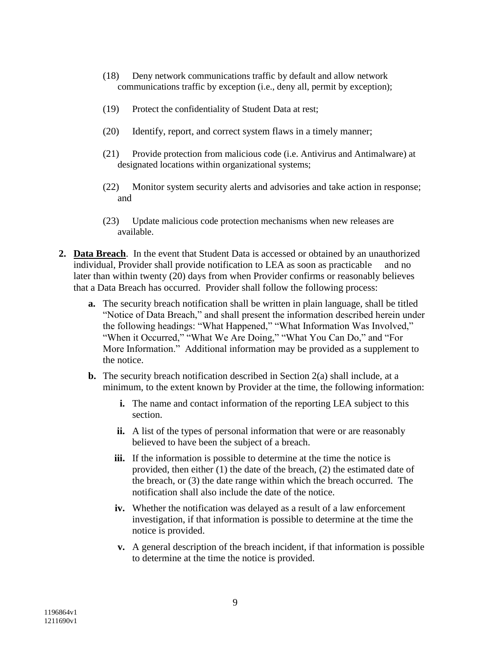- (18) Deny network communications traffic by default and allow network communications traffic by exception (i.e., deny all, permit by exception);
- (19) Protect the confidentiality of Student Data at rest;
- (20) Identify, report, and correct system flaws in a timely manner;
- (21) Provide protection from malicious code (i.e. Antivirus and Antimalware) at designated locations within organizational systems;
- (22) Monitor system security alerts and advisories and take action in response; and
- (23) Update malicious code protection mechanisms when new releases are available.
- **2. Data Breach**. In the event that Student Data is accessed or obtained by an unauthorized individual, Provider shall provide notification to LEA as soon as practicable and no later than within twenty (20) days from when Provider confirms or reasonably believes that a Data Breach has occurred. Provider shall follow the following process:
	- **a.** The security breach notification shall be written in plain language, shall be titled "Notice of Data Breach," and shall present the information described herein under the following headings: "What Happened," "What Information Was Involved," "When it Occurred," "What We Are Doing," "What You Can Do," and "For More Information." Additional information may be provided as a supplement to the notice.
	- **b.** The security breach notification described in Section 2(a) shall include, at a minimum, to the extent known by Provider at the time, the following information:
		- **i.** The name and contact information of the reporting LEA subject to this section.
		- **ii.** A list of the types of personal information that were or are reasonably believed to have been the subject of a breach.
		- **iii.** If the information is possible to determine at the time the notice is provided, then either (1) the date of the breach, (2) the estimated date of the breach, or (3) the date range within which the breach occurred. The notification shall also include the date of the notice.
		- **iv.** Whether the notification was delayed as a result of a law enforcement investigation, if that information is possible to determine at the time the notice is provided.
		- **v.** A general description of the breach incident, if that information is possible to determine at the time the notice is provided.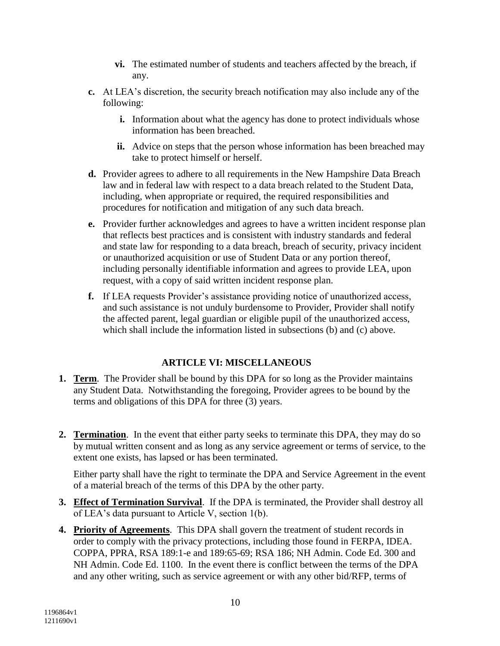- **vi.** The estimated number of students and teachers affected by the breach, if any.
- **c.** At LEA's discretion, the security breach notification may also include any of the following:
	- **i.** Information about what the agency has done to protect individuals whose information has been breached.
	- **ii.** Advice on steps that the person whose information has been breached may take to protect himself or herself.
- **d.** Provider agrees to adhere to all requirements in the New Hampshire Data Breach law and in federal law with respect to a data breach related to the Student Data, including, when appropriate or required, the required responsibilities and procedures for notification and mitigation of any such data breach.
- **e.** Provider further acknowledges and agrees to have a written incident response plan that reflects best practices and is consistent with industry standards and federal and state law for responding to a data breach, breach of security, privacy incident or unauthorized acquisition or use of Student Data or any portion thereof, including personally identifiable information and agrees to provide LEA, upon request, with a copy of said written incident response plan.
- **f.** If LEA requests Provider's assistance providing notice of unauthorized access, and such assistance is not unduly burdensome to Provider, Provider shall notify the affected parent, legal guardian or eligible pupil of the unauthorized access, which shall include the information listed in subsections (b) and (c) above.

# **ARTICLE VI: MISCELLANEOUS**

- **1. Term**. The Provider shall be bound by this DPA for so long as the Provider maintains any Student Data. Notwithstanding the foregoing, Provider agrees to be bound by the terms and obligations of this DPA for three (3) years.
- **2. Termination**. In the event that either party seeks to terminate this DPA, they may do so by mutual written consent and as long as any service agreement or terms of service, to the extent one exists, has lapsed or has been terminated.

Either party shall have the right to terminate the DPA and Service Agreement in the event of a material breach of the terms of this DPA by the other party.

- **3. Effect of Termination Survival**. If the DPA is terminated, the Provider shall destroy all of LEA's data pursuant to Article V, section 1(b).
- **4. Priority of Agreements**. This DPA shall govern the treatment of student records in order to comply with the privacy protections, including those found in FERPA, IDEA. COPPA, PPRA, RSA 189:1-e and 189:65-69; RSA 186; NH Admin. Code Ed. 300 and NH Admin. Code Ed. 1100. In the event there is conflict between the terms of the DPA and any other writing, such as service agreement or with any other bid/RFP, terms of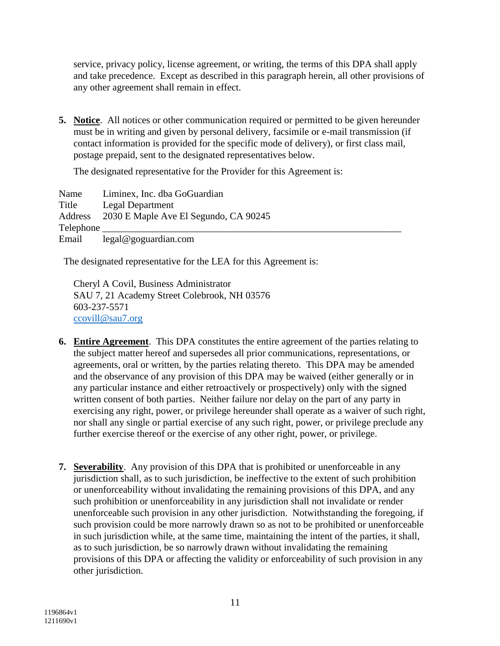service, privacy policy, license agreement, or writing, the terms of this DPA shall apply and take precedence. Except as described in this paragraph herein, all other provisions of any other agreement shall remain in effect.

**5. Notice**. All notices or other communication required or permitted to be given hereunder must be in writing and given by personal delivery, facsimile or e-mail transmission (if contact information is provided for the specific mode of delivery), or first class mail, postage prepaid, sent to the designated representatives below.

The designated representative for the Provider for this Agreement is:

Name Liminex, Inc. dba GoGuardian Title Legal Department Address 2030 E Maple Ave El Segundo, CA 90245 Telephone \_ Email legal@goguardian.com

The designated representative for the LEA for this Agreement is:

Cheryl A Covil, Business Administrator SAU 7, 21 Academy Street Colebrook, NH 03576 603-237-5571 ccovill@sau7.org

- **6. Entire Agreement**. This DPA constitutes the entire agreement of the parties relating to the subject matter hereof and supersedes all prior communications, representations, or agreements, oral or written, by the parties relating thereto. This DPA may be amended and the observance of any provision of this DPA may be waived (either generally or in any particular instance and either retroactively or prospectively) only with the signed written consent of both parties. Neither failure nor delay on the part of any party in exercising any right, power, or privilege hereunder shall operate as a waiver of such right, nor shall any single or partial exercise of any such right, power, or privilege preclude any further exercise thereof or the exercise of any other right, power, or privilege.
- **7. Severability**. Any provision of this DPA that is prohibited or unenforceable in any jurisdiction shall, as to such jurisdiction, be ineffective to the extent of such prohibition or unenforceability without invalidating the remaining provisions of this DPA, and any such prohibition or unenforceability in any jurisdiction shall not invalidate or render unenforceable such provision in any other jurisdiction. Notwithstanding the foregoing, if such provision could be more narrowly drawn so as not to be prohibited or unenforceable in such jurisdiction while, at the same time, maintaining the intent of the parties, it shall, as to such jurisdiction, be so narrowly drawn without invalidating the remaining provisions of this DPA or affecting the validity or enforceability of such provision in any other jurisdiction.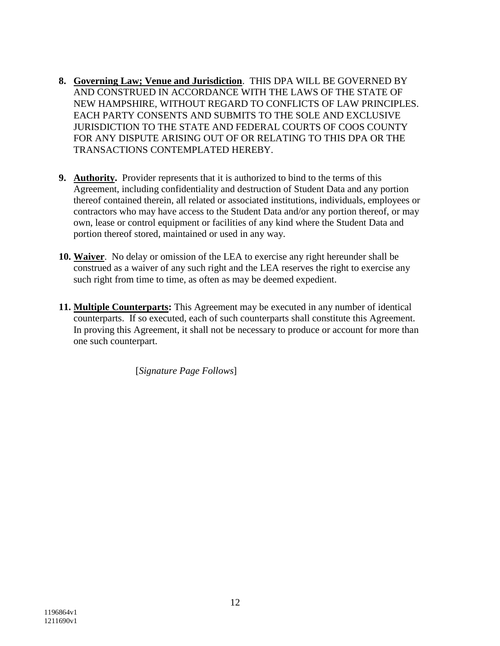- **8. Governing Law; Venue and Jurisdiction**. THIS DPA WILL BE GOVERNED BY AND CONSTRUED IN ACCORDANCE WITH THE LAWS OF THE STATE OF NEW HAMPSHIRE, WITHOUT REGARD TO CONFLICTS OF LAW PRINCIPLES. EACH PARTY CONSENTS AND SUBMITS TO THE SOLE AND EXCLUSIVE JURISDICTION TO THE STATE AND FEDERAL COURTS OF COOS COUNTY FOR ANY DISPUTE ARISING OUT OF OR RELATING TO THIS DPA OR THE TRANSACTIONS CONTEMPLATED HEREBY.
- **9. Authority.** Provider represents that it is authorized to bind to the terms of this Agreement, including confidentiality and destruction of Student Data and any portion thereof contained therein, all related or associated institutions, individuals, employees or contractors who may have access to the Student Data and/or any portion thereof, or may own, lease or control equipment or facilities of any kind where the Student Data and portion thereof stored, maintained or used in any way.
- **10. Waiver**. No delay or omission of the LEA to exercise any right hereunder shall be construed as a waiver of any such right and the LEA reserves the right to exercise any such right from time to time, as often as may be deemed expedient.
- **11. Multiple Counterparts:** This Agreement may be executed in any number of identical counterparts. If so executed, each of such counterparts shall constitute this Agreement. In proving this Agreement, it shall not be necessary to produce or account for more than one such counterpart.

[*Signature Page Follows*]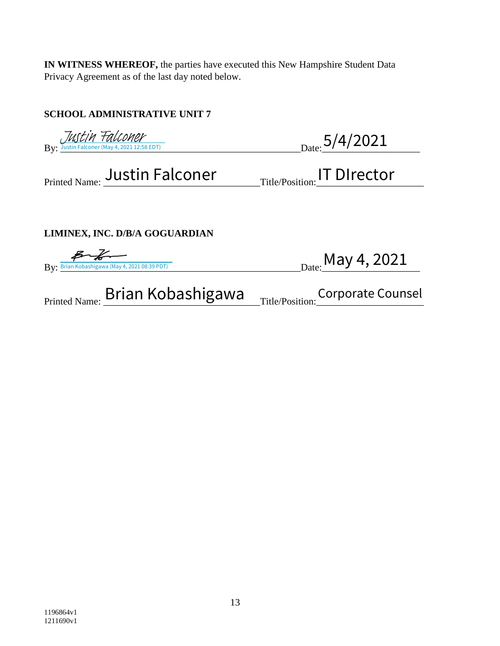**IN WITNESS WHEREOF,** the parties have executed this New Hampshire Student Data Privacy Agreement as of the last day noted below.

| $_{\text{Date:}}$ 5/4/2021        |
|-----------------------------------|
| Title/Position: IT DIrector       |
|                                   |
|                                   |
| $_{\text{Date:}}$ May 4, 2021     |
| Title/Position: Corporate Counsel |
|                                   |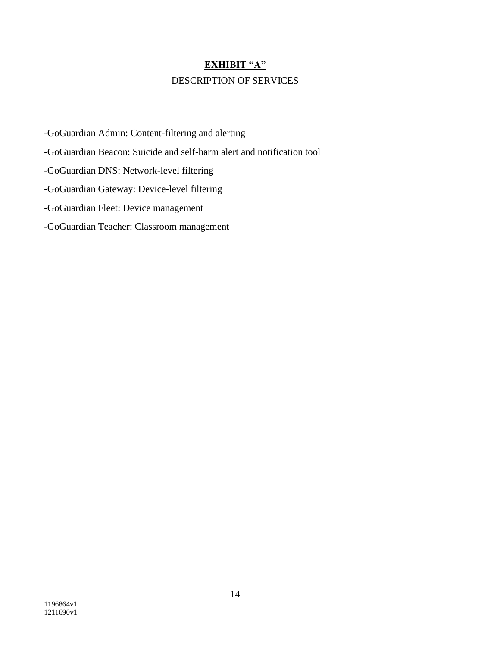# **EXHIBIT "A"**

### DESCRIPTION OF SERVICES

-GoGuardian Admin: Content-filtering and alerting

-GoGuardian Beacon: Suicide and self-harm alert and notification tool

-GoGuardian DNS: Network-level filtering

-GoGuardian Gateway: Device-level filtering

-GoGuardian Fleet: Device management

-GoGuardian Teacher: Classroom management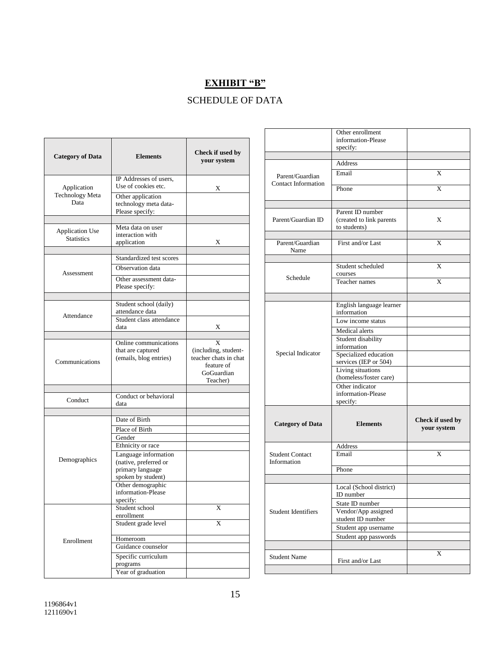# **EXHIBIT "B"**

# SCHEDULE OF DATA

 $\mathbf{r}$ 

| <b>Category of Data</b>                       | <b>Elements</b>                                                                         | Check if used by<br>your system                                                            |
|-----------------------------------------------|-----------------------------------------------------------------------------------------|--------------------------------------------------------------------------------------------|
| Application<br><b>Technology Meta</b><br>Data | IP Addresses of users,<br>Use of cookies etc.                                           | Х                                                                                          |
|                                               | Other application<br>technology meta data-<br>Please specify:                           |                                                                                            |
| <b>Application Use</b><br><b>Statistics</b>   | Meta data on user<br>interaction with<br>application                                    | X                                                                                          |
|                                               | Standardized test scores                                                                |                                                                                            |
|                                               | Observation data                                                                        |                                                                                            |
| Assessment                                    | Other assessment data-<br>Please specify:                                               |                                                                                            |
|                                               |                                                                                         |                                                                                            |
|                                               | Student school (daily)<br>attendance data                                               |                                                                                            |
| Attendance                                    | Student class attendance<br>data                                                        | Х                                                                                          |
| Communications                                | Online communications<br>that are captured<br>(emails, blog entries)                    | X<br>(including, student-<br>teacher chats in chat<br>feature of<br>GoGuardian<br>Teacher) |
|                                               | Conduct or behavioral                                                                   |                                                                                            |
| Conduct                                       | data                                                                                    |                                                                                            |
|                                               | Date of Birth                                                                           |                                                                                            |
|                                               | Place of Birth                                                                          |                                                                                            |
|                                               | Gender                                                                                  |                                                                                            |
|                                               | Ethnicity or race                                                                       |                                                                                            |
| Demographics                                  | Language information<br>(native, preferred or<br>primary language<br>spoken by student) |                                                                                            |
|                                               | Other demographic<br>information-Please<br>specify:                                     |                                                                                            |
|                                               | Student school                                                                          | X                                                                                          |
|                                               | enrollment<br>Student grade level                                                       | X                                                                                          |
| Enrollment                                    | Homeroom                                                                                |                                                                                            |
|                                               | Guidance counselor                                                                      |                                                                                            |
|                                               | Specific curriculum<br>programs                                                         |                                                                                            |
|                                               | Year of graduation                                                                      |                                                                                            |

|                                       | Other enrollment                                             |                                 |
|---------------------------------------|--------------------------------------------------------------|---------------------------------|
|                                       | information-Please<br>specify:                               |                                 |
|                                       |                                                              |                                 |
|                                       | <b>Address</b>                                               |                                 |
| Parent/Guardian                       | Email                                                        | X                               |
| Contact Information                   | Phone                                                        | $\mathbf x$                     |
|                                       |                                                              |                                 |
| Parent/Guardian ID                    | Parent ID number<br>(created to link parents<br>to students) | X                               |
|                                       |                                                              |                                 |
| Parent/Guardian<br>Name               | First and/or Last                                            | X                               |
|                                       | Student scheduled                                            | X                               |
| Schedule                              | courses                                                      |                                 |
|                                       | Teacher names                                                | X                               |
|                                       |                                                              |                                 |
|                                       | English language learner<br>information                      |                                 |
|                                       | Low income status                                            |                                 |
|                                       | Medical alerts                                               |                                 |
|                                       | Student disability                                           |                                 |
|                                       | information                                                  |                                 |
| Special Indicator                     | Specialized education<br>services (IEP or 504)               |                                 |
|                                       | Living situations<br>(homeless/foster care)                  |                                 |
|                                       | Other indicator                                              |                                 |
|                                       | information-Please<br>specify:                               |                                 |
| <b>Category of Data</b>               | <b>Elements</b>                                              | Check if used by<br>your system |
|                                       | Address                                                      |                                 |
| <b>Student Contact</b><br>Information | Email                                                        | X                               |
|                                       | Phone                                                        |                                 |
|                                       |                                                              |                                 |
|                                       | Local (School district)<br>ID number                         |                                 |
|                                       | State ID number                                              |                                 |
| <b>Student Identifiers</b>            | Vendor/App assigned<br>student ID number                     |                                 |
|                                       | Student app username                                         |                                 |
|                                       | Student app passwords                                        |                                 |
|                                       |                                                              |                                 |
| <b>Student Name</b>                   | First and/or Last                                            | X                               |
|                                       |                                                              |                                 |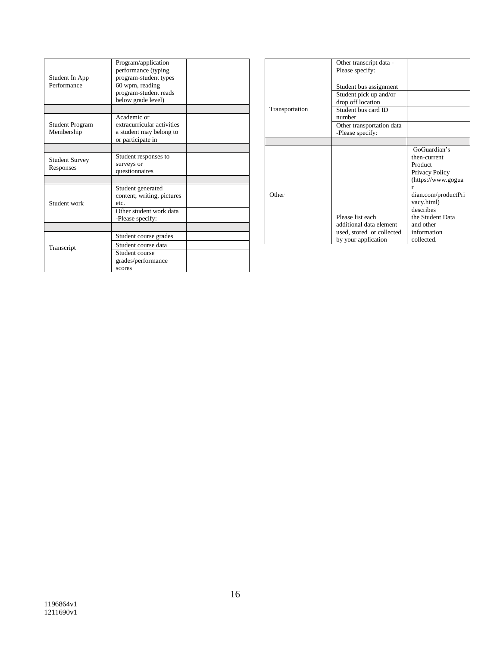| Student In App<br>Performance        | Program/application<br>performance (typing)<br>program-student types<br>60 wpm, reading<br>program-student reads<br>below grade level) |  |
|--------------------------------------|----------------------------------------------------------------------------------------------------------------------------------------|--|
|                                      |                                                                                                                                        |  |
| <b>Student Program</b><br>Membership | Academic or<br>extracurricular activities<br>a student may belong to<br>or participate in                                              |  |
|                                      |                                                                                                                                        |  |
| <b>Student Survey</b><br>Responses   | Student responses to<br>surveys or<br>questionnaires                                                                                   |  |
|                                      |                                                                                                                                        |  |
| Student work                         | Student generated<br>content; writing, pictures<br>etc.<br>Other student work data                                                     |  |
|                                      | -Please specify:                                                                                                                       |  |
|                                      |                                                                                                                                        |  |
| Transcript                           | Student course grades                                                                                                                  |  |
|                                      | Student course data                                                                                                                    |  |
|                                      | Student course                                                                                                                         |  |
|                                      | grades/performance<br>scores                                                                                                           |  |
|                                      |                                                                                                                                        |  |

|                | Other transcript data -<br>Please specify:                                                             |                                                                                                                                                                                                      |
|----------------|--------------------------------------------------------------------------------------------------------|------------------------------------------------------------------------------------------------------------------------------------------------------------------------------------------------------|
| Transportation | Student bus assignment<br>Student pick up and/or<br>drop off location<br>Student bus card ID<br>number |                                                                                                                                                                                                      |
|                | Other transportation data<br>-Please specify:                                                          |                                                                                                                                                                                                      |
|                |                                                                                                        |                                                                                                                                                                                                      |
| Other          | Please list each<br>additional data element<br>used, stored or collected<br>by your application        | GoGuardian's<br>then-current<br>Product<br>Privacy Policy<br>(https://www.gogua<br>r<br>dian.com/productPri<br>vacy.html)<br>describes<br>the Student Data<br>and other<br>information<br>collected. |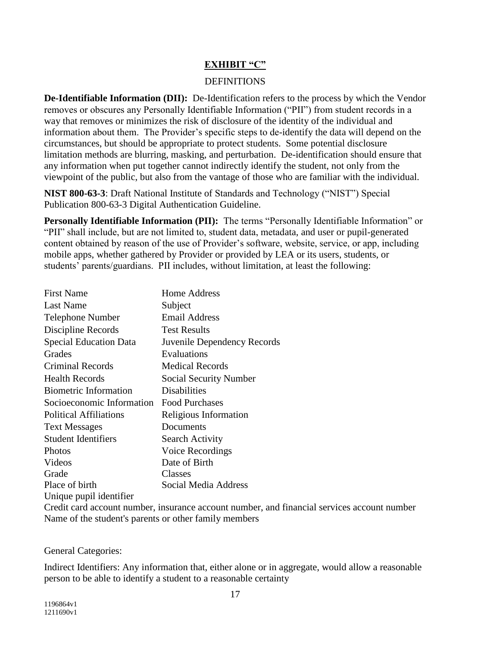### **EXHIBIT "C"**

#### **DEFINITIONS**

**De-Identifiable Information (DII):** De-Identification refers to the process by which the Vendor removes or obscures any Personally Identifiable Information ("PII") from student records in a way that removes or minimizes the risk of disclosure of the identity of the individual and information about them. The Provider's specific steps to de-identify the data will depend on the circumstances, but should be appropriate to protect students. Some potential disclosure limitation methods are blurring, masking, and perturbation. De-identification should ensure that any information when put together cannot indirectly identify the student, not only from the viewpoint of the public, but also from the vantage of those who are familiar with the individual.

**NIST 800-63-3**: Draft National Institute of Standards and Technology ("NIST") Special Publication 800-63-3 Digital Authentication Guideline.

**Personally Identifiable Information (PII):** The terms "Personally Identifiable Information" or "PII" shall include, but are not limited to, student data, metadata, and user or pupil-generated content obtained by reason of the use of Provider's software, website, service, or app, including mobile apps, whether gathered by Provider or provided by LEA or its users, students, or students' parents/guardians. PII includes, without limitation, at least the following:

| <b>First Name</b>             | Home Address                  |
|-------------------------------|-------------------------------|
| Last Name                     | Subject                       |
| <b>Telephone Number</b>       | Email Address                 |
| Discipline Records            | <b>Test Results</b>           |
| <b>Special Education Data</b> | Juvenile Dependency Records   |
| Grades                        | Evaluations                   |
| <b>Criminal Records</b>       | <b>Medical Records</b>        |
| <b>Health Records</b>         | <b>Social Security Number</b> |
| <b>Biometric Information</b>  | Disabilities                  |
| Socioeconomic Information     | <b>Food Purchases</b>         |
| <b>Political Affiliations</b> | Religious Information         |
| <b>Text Messages</b>          | Documents                     |
| <b>Student Identifiers</b>    | <b>Search Activity</b>        |
| <b>Photos</b>                 | Voice Recordings              |
| Videos                        | Date of Birth                 |
| Grade                         | Classes                       |
| Place of birth                | Social Media Address          |
| Unique pupil identifier       |                               |

Credit card account number, insurance account number, and financial services account number Name of the student's parents or other family members

#### General Categories:

Indirect Identifiers: Any information that, either alone or in aggregate, would allow a reasonable person to be able to identify a student to a reasonable certainty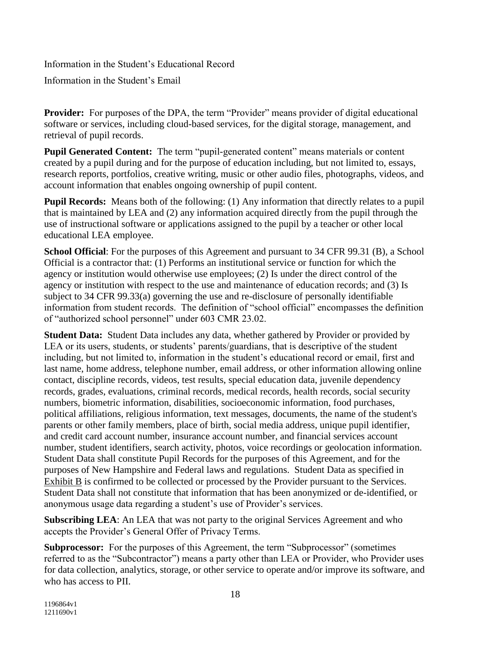Information in the Student's Educational Record

Information in the Student's Email

**Provider:** For purposes of the DPA, the term "Provider" means provider of digital educational software or services, including cloud-based services, for the digital storage, management, and retrieval of pupil records.

**Pupil Generated Content:** The term "pupil-generated content" means materials or content created by a pupil during and for the purpose of education including, but not limited to, essays, research reports, portfolios, creative writing, music or other audio files, photographs, videos, and account information that enables ongoing ownership of pupil content.

**Pupil Records:** Means both of the following: (1) Any information that directly relates to a pupil that is maintained by LEA and (2) any information acquired directly from the pupil through the use of instructional software or applications assigned to the pupil by a teacher or other local educational LEA employee.

**School Official**: For the purposes of this Agreement and pursuant to 34 CFR 99.31 (B), a School Official is a contractor that: (1) Performs an institutional service or function for which the agency or institution would otherwise use employees; (2) Is under the direct control of the agency or institution with respect to the use and maintenance of education records; and (3) Is subject to 34 CFR 99.33(a) governing the use and re-disclosure of personally identifiable information from student records. The definition of "school official" encompasses the definition of "authorized school personnel" under 603 CMR 23.02.

**Student Data:** Student Data includes any data, whether gathered by Provider or provided by LEA or its users, students, or students' parents/guardians, that is descriptive of the student including, but not limited to, information in the student's educational record or email, first and last name, home address, telephone number, email address, or other information allowing online contact, discipline records, videos, test results, special education data, juvenile dependency records, grades, evaluations, criminal records, medical records, health records, social security numbers, biometric information, disabilities, socioeconomic information, food purchases, political affiliations, religious information, text messages, documents, the name of the student's parents or other family members, place of birth, social media address, unique pupil identifier, and credit card account number, insurance account number, and financial services account number, student identifiers, search activity, photos, voice recordings or geolocation information. Student Data shall constitute Pupil Records for the purposes of this Agreement, and for the purposes of New Hampshire and Federal laws and regulations. Student Data as specified in Exhibit B is confirmed to be collected or processed by the Provider pursuant to the Services. Student Data shall not constitute that information that has been anonymized or de-identified, or anonymous usage data regarding a student's use of Provider's services.

**Subscribing LEA:** An LEA that was not party to the original Services Agreement and who accepts the Provider's General Offer of Privacy Terms.

**Subprocessor:** For the purposes of this Agreement, the term "Subprocessor" (sometimes referred to as the "Subcontractor") means a party other than LEA or Provider, who Provider uses for data collection, analytics, storage, or other service to operate and/or improve its software, and who has access to PII.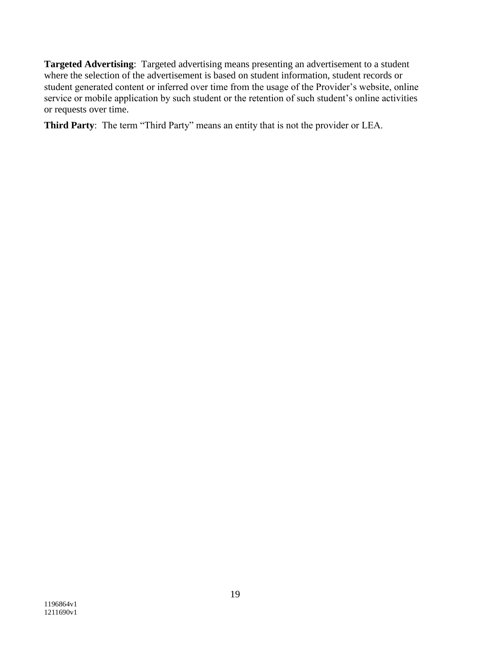**Targeted Advertising**: Targeted advertising means presenting an advertisement to a student where the selection of the advertisement is based on student information, student records or student generated content or inferred over time from the usage of the Provider's website, online service or mobile application by such student or the retention of such student's online activities or requests over time.

**Third Party**: The term "Third Party" means an entity that is not the provider or LEA.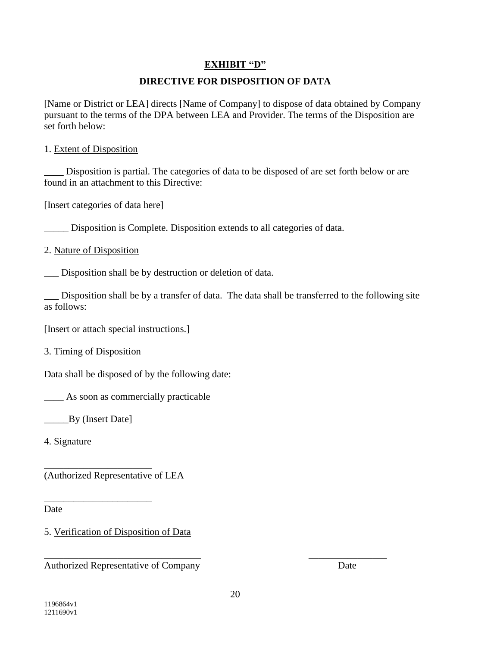# **EXHIBIT "D"**

# **DIRECTIVE FOR DISPOSITION OF DATA**

[Name or District or LEA] directs [Name of Company] to dispose of data obtained by Company pursuant to the terms of the DPA between LEA and Provider. The terms of the Disposition are set forth below:

### 1. Extent of Disposition

Disposition is partial. The categories of data to be disposed of are set forth below or are found in an attachment to this Directive:

[Insert categories of data here]

Disposition is Complete. Disposition extends to all categories of data.

2. Nature of Disposition

\_\_\_ Disposition shall be by destruction or deletion of data.

Disposition shall be by a transfer of data. The data shall be transferred to the following site as follows:

[Insert or attach special instructions.]

3. Timing of Disposition

Data shall be disposed of by the following date:

\_\_\_\_ As soon as commercially practicable

\_\_\_\_\_By (Insert Date]

4. Signature

\_\_\_\_\_\_\_\_\_\_\_\_\_\_\_\_\_\_\_\_\_\_ (Authorized Representative of LEA

\_\_\_\_\_\_\_\_\_\_\_\_\_\_\_\_\_\_\_\_\_\_

Date

5. Verification of Disposition of Data

Authorized Representative of Company Date

1196864v1 1211690v1

\_\_\_\_\_\_\_\_\_\_\_\_\_\_\_\_\_\_\_\_\_\_\_\_\_\_\_\_\_\_\_\_ \_\_\_\_\_\_\_\_\_\_\_\_\_\_\_\_